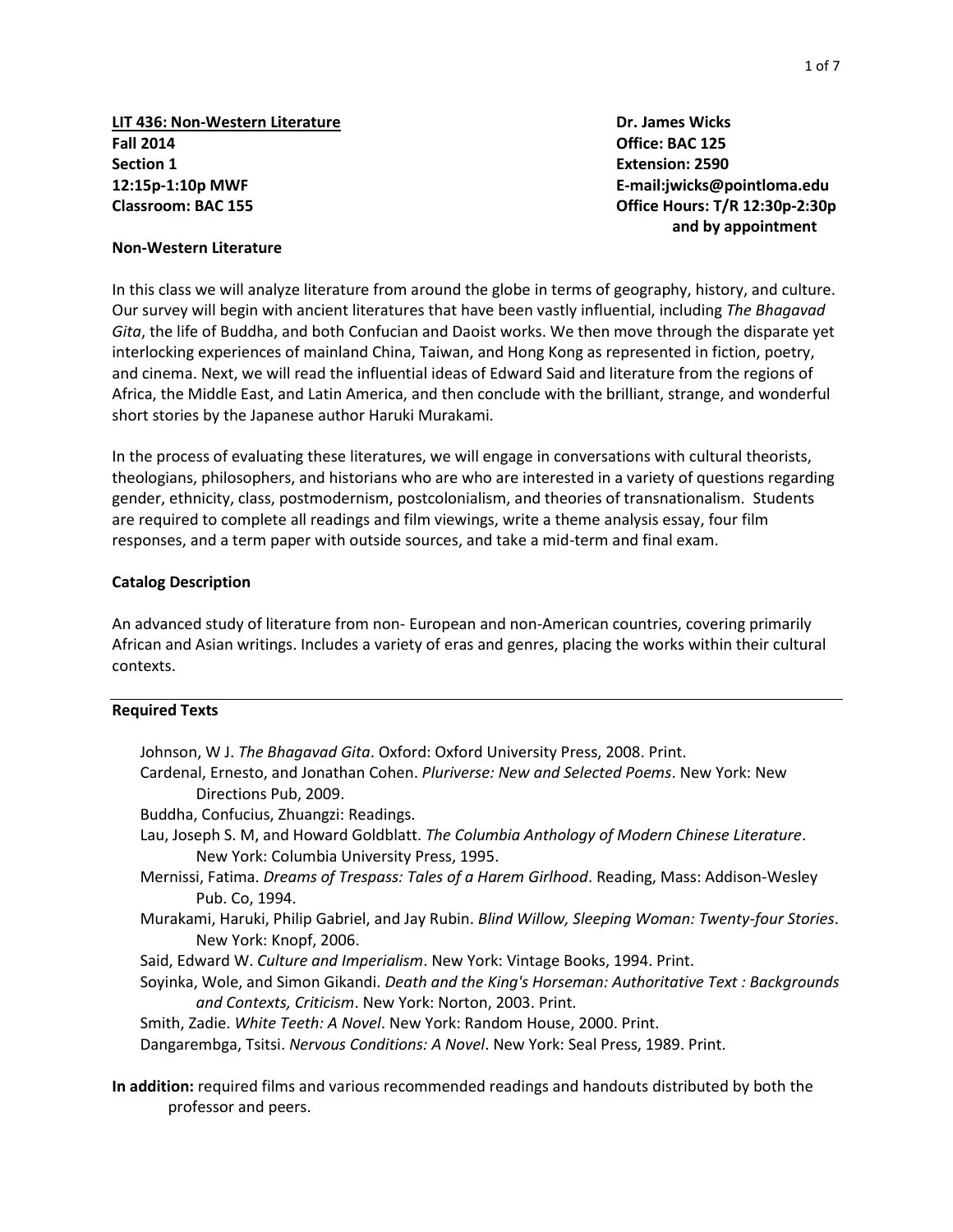**LIT 436: Non-Western Literature Dr. James Wicks Fall 2014 Office: BAC 125 Section 1 Extension: 2590 12:15p-1:10p MWF E-mail:jwicks@pointloma.edu Classroom: BAC 155 Office Hours: T/R 12:30p-2:30p**

**and by appointment**

#### **Non-Western Literature**

In this class we will analyze literature from around the globe in terms of geography, history, and culture. Our survey will begin with ancient literatures that have been vastly influential, including *The Bhagavad Gita*, the life of Buddha, and both Confucian and Daoist works. We then move through the disparate yet interlocking experiences of mainland China, Taiwan, and Hong Kong as represented in fiction, poetry, and cinema. Next, we will read the influential ideas of Edward Said and literature from the regions of Africa, the Middle East, and Latin America, and then conclude with the brilliant, strange, and wonderful short stories by the Japanese author Haruki Murakami.

In the process of evaluating these literatures, we will engage in conversations with cultural theorists, theologians, philosophers, and historians who are who are interested in a variety of questions regarding gender, ethnicity, class, postmodernism, postcolonialism, and theories of transnationalism. Students are required to complete all readings and film viewings, write a theme analysis essay, four film responses, and a term paper with outside sources, and take a mid-term and final exam.

#### **Catalog Description**

An advanced study of literature from non- European and non-American countries, covering primarily African and Asian writings. Includes a variety of eras and genres, placing the works within their cultural contexts.

#### **Required Texts**

- Johnson, W J. *The Bhagavad Gita*. Oxford: Oxford University Press, 2008. Print. Cardenal, Ernesto, and Jonathan Cohen. *Pluriverse: New and Selected Poems*. New York: New Directions Pub, 2009. Buddha, Confucius, Zhuangzi: Readings. Lau, Joseph S. M, and Howard Goldblatt. *The Columbia Anthology of Modern Chinese Literature*. New York: Columbia University Press, 1995. Mernissi, Fatima. *Dreams of Trespass: Tales of a Harem Girlhood*. Reading, Mass: Addison-Wesley Pub. Co, 1994. Murakami, Haruki, Philip Gabriel, and Jay Rubin. *Blind Willow, Sleeping Woman: Twenty-four Stories*. New York: Knopf, 2006. Said, Edward W. *Culture and Imperialism*. New York: Vintage Books, 1994. Print. Soyinka, Wole, and Simon Gikandi. *Death and the King's Horseman: Authoritative Text : Backgrounds and Contexts, Criticism*. New York: Norton, 2003. Print. Smith, Zadie. *White Teeth: A Novel*. New York: Random House, 2000. Print. Dangarembga, Tsitsi. *Nervous Conditions: A Novel*. New York: Seal Press, 1989. Print.
- **In addition:** required films and various recommended readings and handouts distributed by both the professor and peers.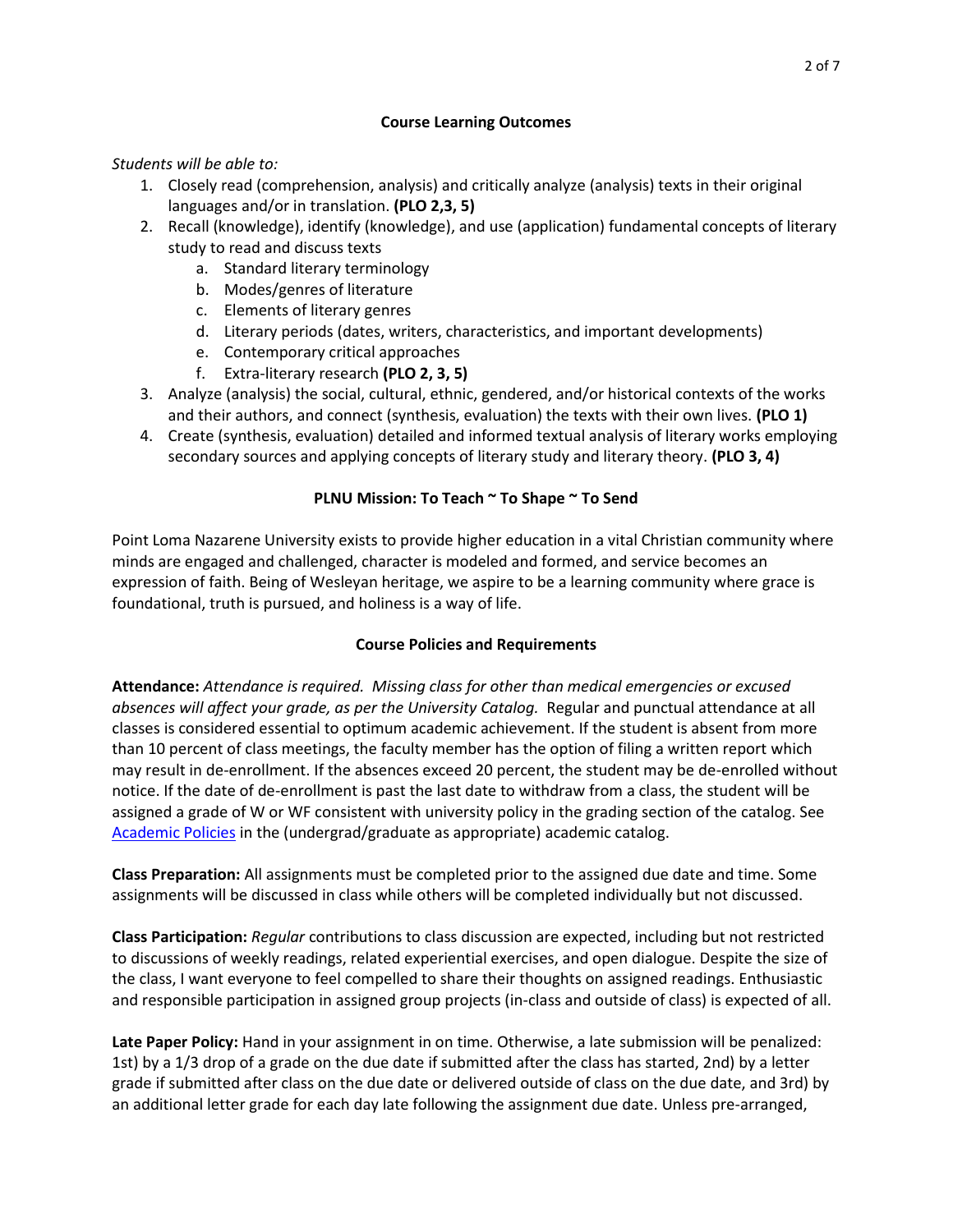## **Course Learning Outcomes**

## *Students will be able to:*

- 1. Closely read (comprehension, analysis) and critically analyze (analysis) texts in their original languages and/or in translation. **(PLO 2,3, 5)**
- 2. Recall (knowledge), identify (knowledge), and use (application) fundamental concepts of literary study to read and discuss texts
	- a. Standard literary terminology
	- b. Modes/genres of literature
	- c. Elements of literary genres
	- d. Literary periods (dates, writers, characteristics, and important developments)
	- e. Contemporary critical approaches
	- f. Extra-literary research **(PLO 2, 3, 5)**
- 3. Analyze (analysis) the social, cultural, ethnic, gendered, and/or historical contexts of the works and their authors, and connect (synthesis, evaluation) the texts with their own lives. **(PLO 1)**
- 4. Create (synthesis, evaluation) detailed and informed textual analysis of literary works employing secondary sources and applying concepts of literary study and literary theory. **(PLO 3, 4)**

# **PLNU Mission: To Teach ~ To Shape ~ To Send**

Point Loma Nazarene University exists to provide higher education in a vital Christian community where minds are engaged and challenged, character is modeled and formed, and service becomes an expression of faith. Being of Wesleyan heritage, we aspire to be a learning community where grace is foundational, truth is pursued, and holiness is a way of life.

# **Course Policies and Requirements**

**Attendance:** *Attendance is required. Missing class for other than medical emergencies or excused absences will affect your grade, as per the University Catalog.* Regular and punctual attendance at all classes is considered essential to optimum academic achievement. If the student is absent from more than 10 percent of class meetings, the faculty member has the option of filing a written report which may result in de-enrollment. If the absences exceed 20 percent, the student may be de-enrolled without notice. If the date of de-enrollment is past the last date to withdraw from a class, the student will be assigned a grade of W or WF consistent with university policy in the grading section of the catalog. See [Academic Policies](http://www.pointloma.edu/experience/academics/catalogs/undergraduate-catalog/point-loma-education/academic-policies) in the (undergrad/graduate as appropriate) academic catalog.

**Class Preparation:** All assignments must be completed prior to the assigned due date and time. Some assignments will be discussed in class while others will be completed individually but not discussed.

**Class Participation:** *Regular* contributions to class discussion are expected, including but not restricted to discussions of weekly readings, related experiential exercises, and open dialogue. Despite the size of the class, I want everyone to feel compelled to share their thoughts on assigned readings. Enthusiastic and responsible participation in assigned group projects (in-class and outside of class) is expected of all.

**Late Paper Policy:** Hand in your assignment in on time. Otherwise, a late submission will be penalized: 1st) by a 1/3 drop of a grade on the due date if submitted after the class has started, 2nd) by a letter grade if submitted after class on the due date or delivered outside of class on the due date, and 3rd) by an additional letter grade for each day late following the assignment due date. Unless pre-arranged,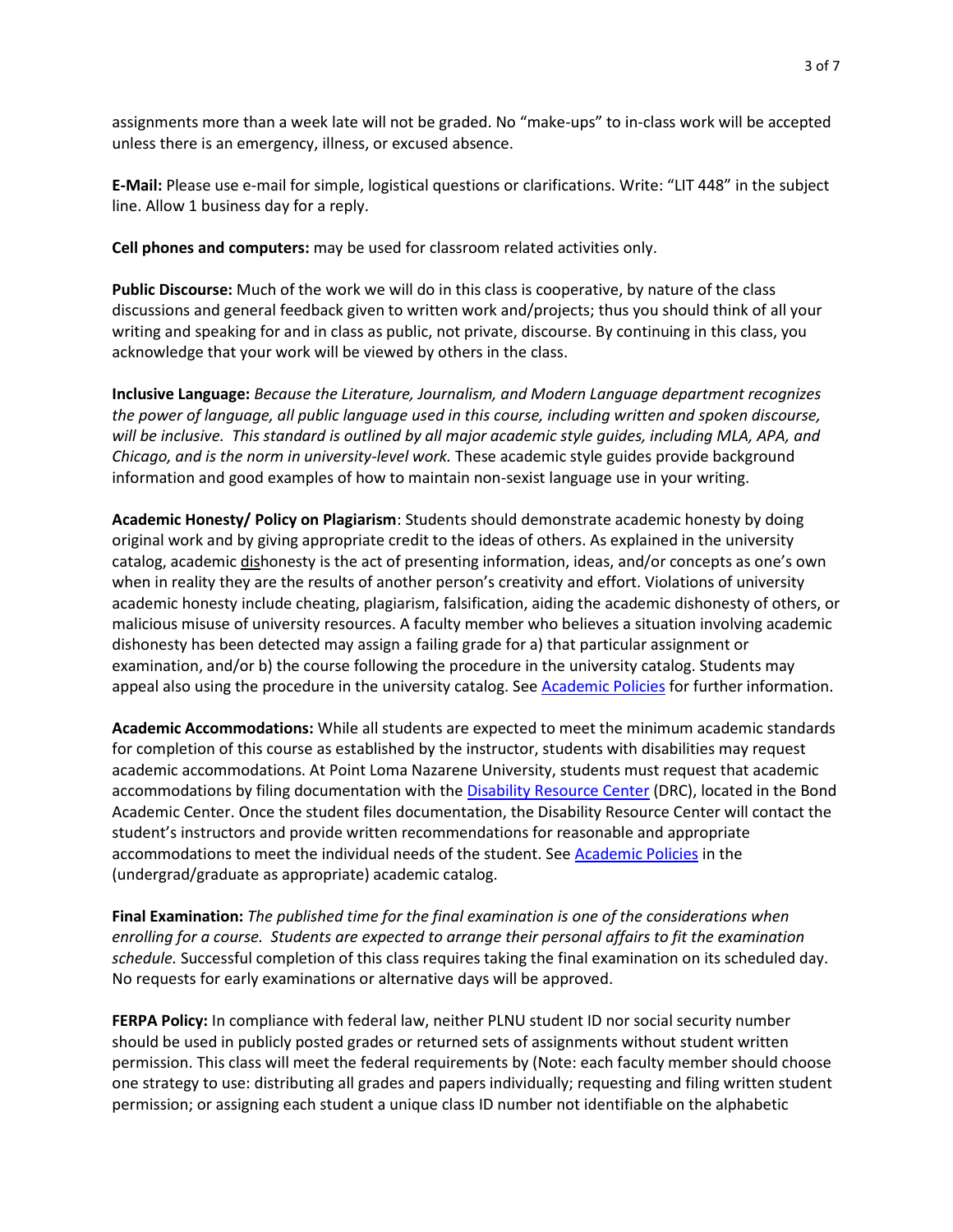assignments more than a week late will not be graded. No "make-ups" to in-class work will be accepted unless there is an emergency, illness, or excused absence.

**E-Mail:** Please use e-mail for simple, logistical questions or clarifications. Write: "LIT 448" in the subject line. Allow 1 business day for a reply.

**Cell phones and computers:** may be used for classroom related activities only.

**Public Discourse:** Much of the work we will do in this class is cooperative, by nature of the class discussions and general feedback given to written work and/projects; thus you should think of all your writing and speaking for and in class as public, not private, discourse. By continuing in this class, you acknowledge that your work will be viewed by others in the class.

**Inclusive Language:** *Because the Literature, Journalism, and Modern Language department recognizes the power of language, all public language used in this course, including written and spoken discourse, will be inclusive. This standard is outlined by all major academic style guides, including MLA, APA, and Chicago, and is the norm in university-level work.* These academic style guides provide background information and good examples of how to maintain non-sexist language use in your writing.

**Academic Honesty/ Policy on Plagiarism**: Students should demonstrate academic honesty by doing original work and by giving appropriate credit to the ideas of others. As explained in the university catalog, academic dishonesty is the act of presenting information, ideas, and/or concepts as one's own when in reality they are the results of another person's creativity and effort. Violations of university academic honesty include cheating, plagiarism, falsification, aiding the academic dishonesty of others, or malicious misuse of university resources. A faculty member who believes a situation involving academic dishonesty has been detected may assign a failing grade for a) that particular assignment or examination, and/or b) the course following the procedure in the university catalog. Students may appeal also using the procedure in the university catalog. See [Academic Policies](http://www.pointloma.edu/experience/academics/catalogs/undergraduate-catalog/point-loma-education/academic-policies) for further information.

**Academic Accommodations:** While all students are expected to meet the minimum academic standards for completion of this course as established by the instructor, students with disabilities may request academic accommodations. At Point Loma Nazarene University, students must request that academic accommodations by filing documentation with the [Disability Resource Center](http://www.pointloma.edu/experience/offices/administrative-offices/academic-advising-office/disability-resource-center) (DRC), located in the Bond Academic Center. Once the student files documentation, the Disability Resource Center will contact the student's instructors and provide written recommendations for reasonable and appropriate accommodations to meet the individual needs of the student. See [Academic Policies](http://www.pointloma.edu/experience/academics/catalogs/undergraduate-catalog/point-loma-education/academic-policies) in the (undergrad/graduate as appropriate) academic catalog.

**Final Examination:** *The published time for the final examination is one of the considerations when enrolling for a course. Students are expected to arrange their personal affairs to fit the examination schedule.* Successful completion of this class requires taking the final examination on its scheduled day. No requests for early examinations or alternative days will be approved.

**FERPA Policy:** In compliance with federal law, neither PLNU student ID nor social security number should be used in publicly posted grades or returned sets of assignments without student written permission. This class will meet the federal requirements by (Note: each faculty member should choose one strategy to use: distributing all grades and papers individually; requesting and filing written student permission; or assigning each student a unique class ID number not identifiable on the alphabetic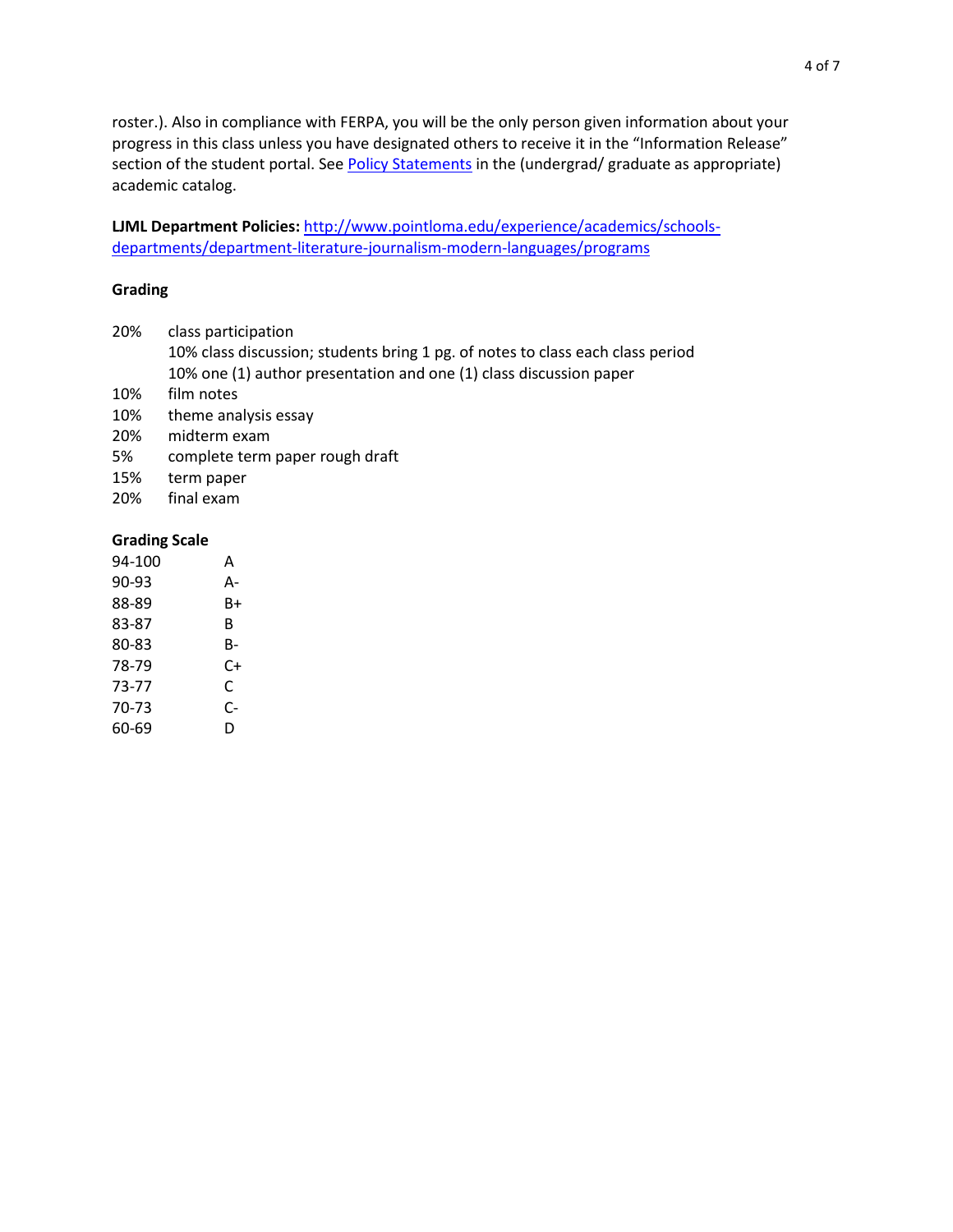roster.). Also in compliance with FERPA, you will be the only person given information about your progress in this class unless you have designated others to receive it in the "Information Release" section of the student portal. Se[e Policy Statements](http://www.pointloma.edu/experience/academics/catalogs/undergraduate-catalog/policy-statements) in the (undergrad/ graduate as appropriate) academic catalog.

**LJML Department Policies:** [http://www.pointloma.edu/experience/academics/schools](http://www.pointloma.edu/experience/academics/schools-departments/department-literature-journalism-modern-languages/programs)[departments/department-literature-journalism-modern-languages/programs](http://www.pointloma.edu/experience/academics/schools-departments/department-literature-journalism-modern-languages/programs)

#### **Grading**

- 20% class participation
	- 10% class discussion; students bring 1 pg. of notes to class each class period 10% one (1) author presentation and one (1) class discussion paper
- 10% film notes
- 10% theme analysis essay
- 20% midterm exam
- 5% complete term paper rough draft
- 15% term paper
- 20% final exam

### **Grading Scale**

| 94-100 | А  |
|--------|----|
| 90-93  | А- |
| 88-89  | B+ |
| 83-87  | B  |
| 80-83  | B- |
| 78-79  | C+ |
| 73-77  | C  |
| 70-73  | C- |
| 60-69  | D  |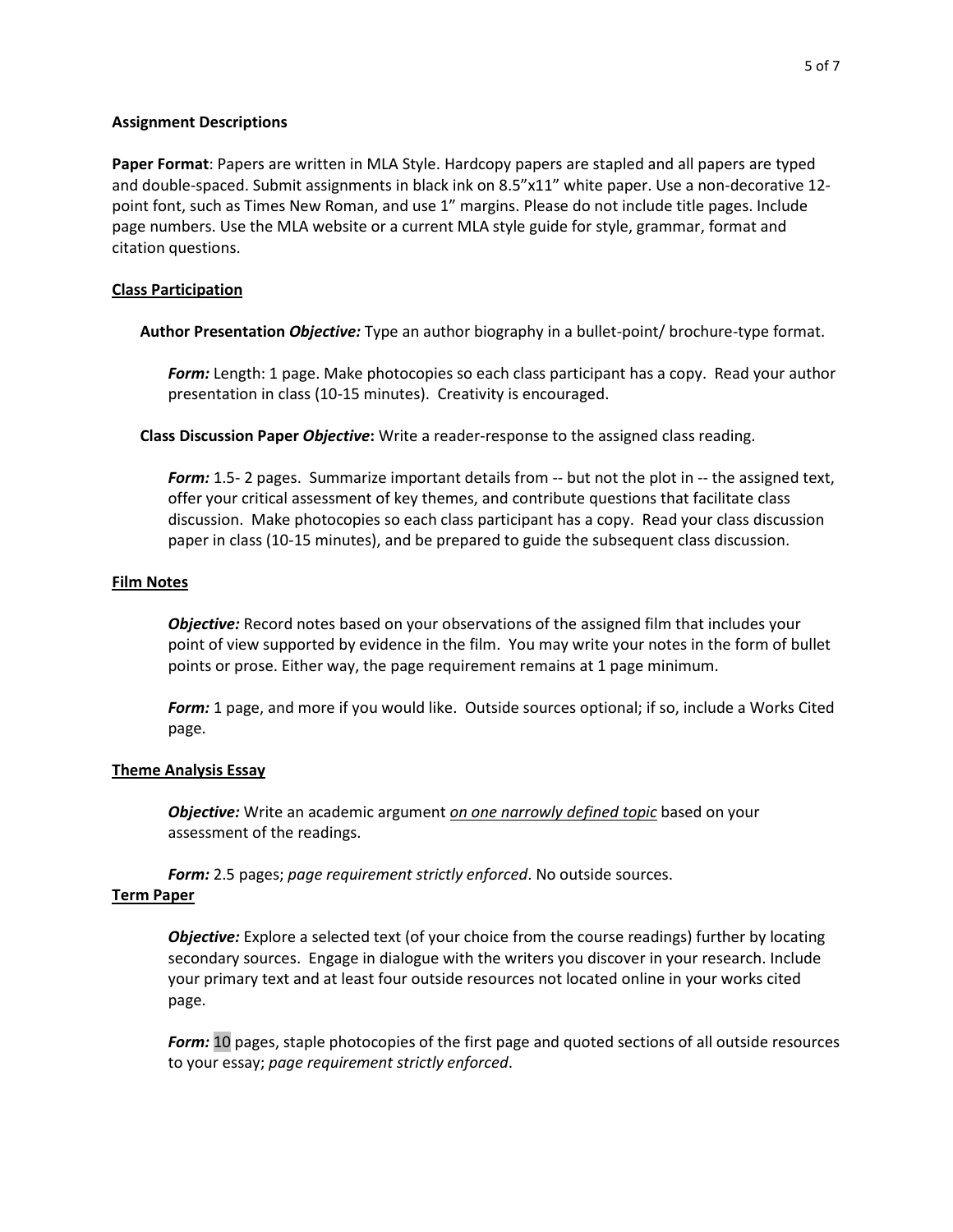#### **Assignment Descriptions**

**Paper Format**: Papers are written in MLA Style. Hardcopy papers are stapled and all papers are typed and double-spaced. Submit assignments in black ink on 8.5"x11" white paper. Use a non-decorative 12 point font, such as Times New Roman, and use 1" margins. Please do not include title pages. Include page numbers. Use the MLA website or a current MLA style guide for style, grammar, format and citation questions.

## **Class Participation**

**Author Presentation** *Objective:* Type an author biography in a bullet-point/ brochure-type format.

*Form:* Length: 1 page. Make photocopies so each class participant has a copy. Read your author presentation in class (10-15 minutes). Creativity is encouraged.

**Class Discussion Paper** *Objective***:** Write a reader-response to the assigned class reading.

**Form:** 1.5- 2 pages. Summarize important details from -- but not the plot in -- the assigned text, offer your critical assessment of key themes, and contribute questions that facilitate class discussion. Make photocopies so each class participant has a copy. Read your class discussion paper in class (10-15 minutes), and be prepared to guide the subsequent class discussion.

## **Film Notes**

*Objective:* Record notes based on your observations of the assigned film that includes your point of view supported by evidence in the film. You may write your notes in the form of bullet points or prose. Either way, the page requirement remains at 1 page minimum.

*Form:* 1 page, and more if you would like. Outside sources optional; if so, include a Works Cited page.

## **Theme Analysis Essay**

*Objective:* Write an academic argument *on one narrowly defined topic* based on your assessment of the readings.

*Form:* 2.5 pages; *page requirement strictly enforced*. No outside sources.

## **Term Paper**

*Objective:* Explore a selected text (of your choice from the course readings) further by locating secondary sources. Engage in dialogue with the writers you discover in your research. Include your primary text and at least four outside resources not located online in your works cited page.

*Form:* 10 pages, staple photocopies of the first page and quoted sections of all outside resources to your essay; *page requirement strictly enforced*.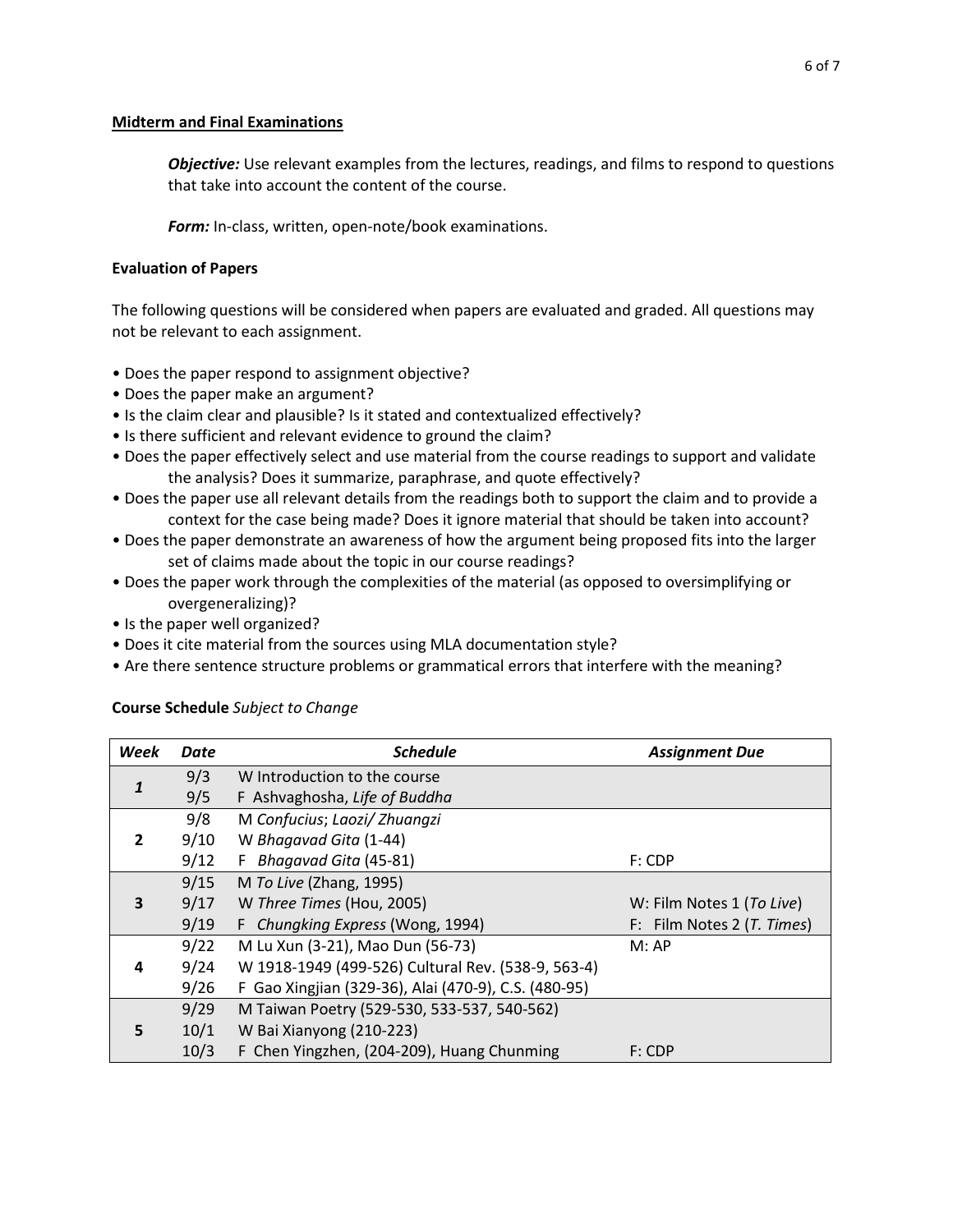### **Midterm and Final Examinations**

*Objective:* Use relevant examples from the lectures, readings, and films to respond to questions that take into account the content of the course.

*Form:* In-class, written, open-note/book examinations.

## **Evaluation of Papers**

The following questions will be considered when papers are evaluated and graded. All questions may not be relevant to each assignment.

- Does the paper respond to assignment objective?
- Does the paper make an argument?
- Is the claim clear and plausible? Is it stated and contextualized effectively?
- Is there sufficient and relevant evidence to ground the claim?
- Does the paper effectively select and use material from the course readings to support and validate the analysis? Does it summarize, paraphrase, and quote effectively?
- Does the paper use all relevant details from the readings both to support the claim and to provide a context for the case being made? Does it ignore material that should be taken into account?
- Does the paper demonstrate an awareness of how the argument being proposed fits into the larger set of claims made about the topic in our course readings?
- Does the paper work through the complexities of the material (as opposed to oversimplifying or overgeneralizing)?
- Is the paper well organized?
- Does it cite material from the sources using MLA documentation style?
- Are there sentence structure problems or grammatical errors that interfere with the meaning?

| <b>Week</b> | Date | <b>Schedule</b>                                      | <b>Assignment Due</b>      |
|-------------|------|------------------------------------------------------|----------------------------|
| 1           | 9/3  | W Introduction to the course                         |                            |
|             | 9/5  | F Ashvaghosha, Life of Buddha                        |                            |
|             | 9/8  | M Confucius; Laozi/ Zhuangzi                         |                            |
| 2           | 9/10 | W Bhagavad Gita (1-44)                               |                            |
|             | 9/12 | F Bhagavad Gita (45-81)                              | F: CDP                     |
|             | 9/15 | M To Live (Zhang, 1995)                              |                            |
| 3           | 9/17 | W Three Times (Hou, 2005)                            | W: Film Notes 1 (To Live)  |
|             | 9/19 | F Chungking Express (Wong, 1994)                     | F: Film Notes 2 (T. Times) |
|             | 9/22 | M Lu Xun (3-21), Mao Dun (56-73)                     | M:AP                       |
| 4           | 9/24 | W 1918-1949 (499-526) Cultural Rev. (538-9, 563-4)   |                            |
|             | 9/26 | F Gao Xingjian (329-36), Alai (470-9), C.S. (480-95) |                            |
|             | 9/29 | M Taiwan Poetry (529-530, 533-537, 540-562)          |                            |
| 5           | 10/1 | W Bai Xianyong (210-223)                             |                            |
|             | 10/3 | F Chen Yingzhen, (204-209), Huang Chunming           | $F:$ CDP                   |

## **Course Schedule** *Subject to Change*